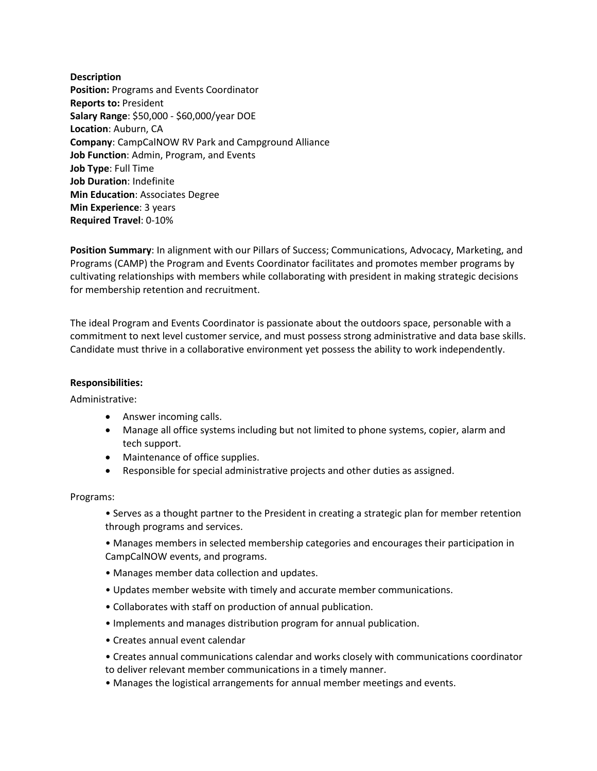**Description Position:** Programs and Events Coordinator **Reports to:** President **Salary Range**: \$50,000 - \$60,000/year DOE **Location**: Auburn, CA **Company**: CampCalNOW RV Park and Campground Alliance **Job Function**: Admin, Program, and Events **Job Type**: Full Time **Job Duration**: Indefinite **Min Education**: Associates Degree **Min Experience**: 3 years **Required Travel**: 0-10%

**Position Summary**: In alignment with our Pillars of Success; Communications, Advocacy, Marketing, and Programs (CAMP) the Program and Events Coordinator facilitates and promotes member programs by cultivating relationships with members while collaborating with president in making strategic decisions for membership retention and recruitment.

The ideal Program and Events Coordinator is passionate about the outdoors space, personable with a commitment to next level customer service, and must possess strong administrative and data base skills. Candidate must thrive in a collaborative environment yet possess the ability to work independently.

## **Responsibilities:**

Administrative:

- Answer incoming calls.
- Manage all office systems including but not limited to phone systems, copier, alarm and tech support.
- Maintenance of office supplies.
- Responsible for special administrative projects and other duties as assigned.

## Programs:

• Serves as a thought partner to the President in creating a strategic plan for member retention through programs and services.

• Manages members in selected membership categories and encourages their participation in CampCalNOW events, and programs.

- Manages member data collection and updates.
- Updates member website with timely and accurate member communications.
- Collaborates with staff on production of annual publication.
- Implements and manages distribution program for annual publication.
- Creates annual event calendar
- Creates annual communications calendar and works closely with communications coordinator to deliver relevant member communications in a timely manner.
- Manages the logistical arrangements for annual member meetings and events.